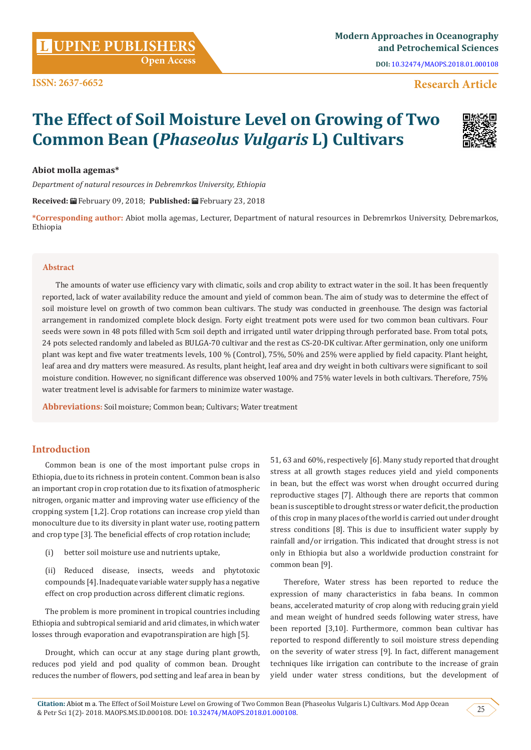**Citation:** Abiot m a. The Effect of Soil Moisture Level on Growing of Two Common Bean (Phaseolus Vulgaris L) Cultivars. Mod App Ocean & Petr Sci 1(2)- 2018. MAOPS.MS.ID.000108. DOI: [10.32474/MAOPS.2018.01.000108](http://dx.doi.org/10.32474/MAOPS.2018.01.000108).

**L UPINE PUBLISHERS**<br>and Petrochemical Sciences **and Petrochemical Sciences**

**DOI:** [10.32474/MAOPS.2018.01.000108](http://dx.doi.org/10.32474/MAOPS.2018.01.000108)

# **Research Article**

# **The Effect of Soil Moisture Level on Growing of Two Common Bean (***Phaseolus Vulgaris* **L) Cultivars**

# **Abiot molla agemas\***

*Department of natural resources in Debremrkos University, Ethiopia*

 **Open Access**

**Received:** February 09, 2018; **Published:** February 23, 2018

**\*Corresponding author:** Abiot molla agemas, Lecturer, Department of natural resources in Debremrkos University, Debremarkos, Ethiopia

#### **Abstract**

The amounts of water use efficiency vary with climatic, soils and crop ability to extract water in the soil. It has been frequently reported, lack of water availability reduce the amount and yield of common bean. The aim of study was to determine the effect of soil moisture level on growth of two common bean cultivars. The study was conducted in greenhouse. The design was factorial arrangement in randomized complete block design. Forty eight treatment pots were used for two common bean cultivars. Four seeds were sown in 48 pots filled with 5cm soil depth and irrigated until water dripping through perforated base. From total pots, 24 pots selected randomly and labeled as BULGA-70 cultivar and the rest as CS-20-DK cultivar. After germination, only one uniform plant was kept and five water treatments levels, 100 % (Control), 75%, 50% and 25% were applied by field capacity. Plant height, leaf area and dry matters were measured. As results, plant height, leaf area and dry weight in both cultivars were significant to soil moisture condition. However, no significant difference was observed 100% and 75% water levels in both cultivars. Therefore, 75% water treatment level is advisable for farmers to minimize water wastage.

**Abbreviations:** Soil moisture; Common bean; Cultivars; Water treatment

# **Introduction**

Common bean is one of the most important pulse crops in Ethiopia, due to its richness in protein content. Common bean is also an important crop in crop rotation due to its fixation of atmospheric nitrogen, organic matter and improving water use efficiency of the cropping system [1,2]. Crop rotations can increase crop yield than monoculture due to its diversity in plant water use, rooting pattern and crop type [3]. The beneficial effects of crop rotation include;

- (i) better soil moisture use and nutrients uptake,
- (ii) Reduced disease, insects, weeds and phytotoxic compounds [4]. Inadequate variable water supply has a negative effect on crop production across different climatic regions.

The problem is more prominent in tropical countries including Ethiopia and subtropical semiarid and arid climates, in which water losses through evaporation and evapotranspiration are high [5].

Drought, which can occur at any stage during plant growth, reduces pod yield and pod quality of common bean. Drought reduces the number of flowers, pod setting and leaf area in bean by

51, 63 and 60%, respectively [6]. Many study reported that drought stress at all growth stages reduces yield and yield components in bean, but the effect was worst when drought occurred during reproductive stages [7]. Although there are reports that common bean is susceptible to drought stress or water deficit, the production of this crop in many places of the world is carried out under drought stress conditions [8]. This is due to insufficient water supply by rainfall and/or irrigation. This indicated that drought stress is not only in Ethiopia but also a worldwide production constraint for common bean [9].

Therefore, Water stress has been reported to reduce the expression of many characteristics in faba beans. In common beans, accelerated maturity of crop along with reducing grain yield and mean weight of hundred seeds following water stress, have been reported [3,10]. Furthermore, common bean cultivar has reported to respond differently to soil moisture stress depending on the severity of water stress [9]. In fact, different management techniques like irrigation can contribute to the increase of grain yield under water stress conditions, but the development of



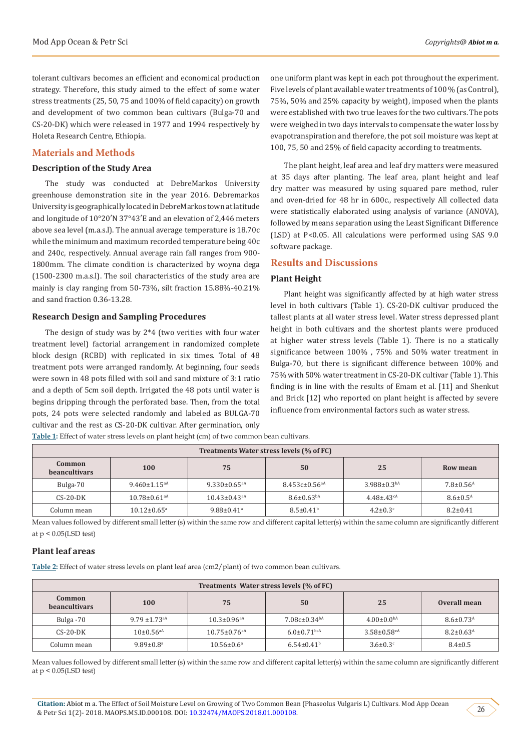tolerant cultivars becomes an efficient and economical production strategy. Therefore, this study aimed to the effect of some water stress treatments (25, 50, 75 and 100% of field capacity) on growth and development of two common bean cultivars (Bulga-70 and CS-20-DK) which were released in 1977 and 1994 respectively by Holeta Research Centre, Ethiopia.

# **Materials and Methods**

#### **Description of the Study Area**

The study was conducted at DebreMarkos University greenhouse demonstration site in the year 2016. Debremarkos University is geographically located in DebreMarkos town at latitude and longitude of 10°20′N 37°43′E and an elevation of 2,446 meters above sea level (m.a.s.l). The annual average temperature is 18.70c while the minimum and maximum recorded temperature being 40c and 240c, respectively. Annual average rain fall ranges from 900- 1800mm. The climate condition is characterized by woyna dega (1500-2300 m.a.s.l). The soil characteristics of the study area are mainly is clay ranging from 50-73%, silt fraction 15.88%-40.21% and sand fraction 0.36-13.28.

#### **Research Design and Sampling Procedures**

The design of study was by 2\*4 (two verities with four water treatment level) factorial arrangement in randomized complete block design (RCBD) with replicated in six times. Total of 48 treatment pots were arranged randomly. At beginning, four seeds were sown in 48 pots filled with soil and sand mixture of 3:1 ratio and a depth of 5cm soil depth. Irrigated the 48 pots until water is begins dripping through the perforated base. Then, from the total pots, 24 pots were selected randomly and labeled as BULGA-70 cultivar and the rest as CS-20-DK cultivar. After germination, only

one uniform plant was kept in each pot throughout the experiment. Five levels of plant available water treatments of 100 % (as Control), 75%, 50% and 25% capacity by weight), imposed when the plants were established with two true leaves for the two cultivars. The pots were weighed in two days intervals to compensate the water loss by evapotranspiration and therefore, the pot soil moisture was kept at 100, 75, 50 and 25% of field capacity according to treatments.

The plant height, leaf area and leaf dry matters were measured at 35 days after planting. The leaf area, plant height and leaf dry matter was measured by using squared pare method, ruler and oven-dried for 48 hr in 600c., respectively All collected data were statistically elaborated using analysis of variance (ANOVA), followed by means separation using the Least Significant Difference (LSD) at P<0.05. All calculations were performed using SAS 9.0 software package.

# **Results and Discussions**

# **Plant Height**

Plant height was significantly affected by at high water stress level in both cultivars (Table 1). CS-20-DK cultivar produced the tallest plants at all water stress level. Water stress depressed plant height in both cultivars and the shortest plants were produced at higher water stress levels (Table 1). There is no a statically significance between 100% , 75% and 50% water treatment in Bulga-70, but there is significant difference between 100% and 75% with 50% water treatment in CS-20-DK cultivar (Table 1). This finding is in line with the results of Emam et al. [11] and Shenkut and Brick [12] who reported on plant height is affected by severe influence from environmental factors such as water stress.

|  |  |  |  |  | Table 1: Effect of water stress levels on plant height (cm) of two common bean cultivars. |
|--|--|--|--|--|-------------------------------------------------------------------------------------------|
|--|--|--|--|--|-------------------------------------------------------------------------------------------|

| Treatments Water stress levels (% of FC) |                                |                                |                                 |                              |                             |  |
|------------------------------------------|--------------------------------|--------------------------------|---------------------------------|------------------------------|-----------------------------|--|
| Common<br><b>beancultivars</b>           | <b>100</b>                     | 75                             | 50                              | 25                           | Row mean                    |  |
| Bulga-70                                 | $9.460 \pm 1.15$ <sup>aA</sup> | 9.330 $\pm$ 0.65 <sup>aA</sup> | $8.453c \pm 0.56$ <sup>aA</sup> | $3.988 \pm 0.3bA$            | $7.8 \pm 0.56$ <sup>A</sup> |  |
| $CS-20-DK$                               | $10.78 \pm 0.61$ <sup>aA</sup> | $10.43 \pm 0.43$ <sup>aA</sup> | $8.6 \pm 0.63$ <sub>bA</sub>    | $4.48 \pm .43$ <sup>cA</sup> | $8.6 \pm 0.5^{\text{A}}$    |  |
| Column mean                              | $10.12 \pm 0.65$ <sup>a</sup>  | $9.88 \pm 0.41$ <sup>a</sup>   | $8.5 \pm 0.41^b$                | $4.2 \pm 0.3$ <sup>c</sup>   | $8.2 \pm 0.41$              |  |

Mean values followed by different small letter (s) within the same row and different capital letter(s) within the same column are significantly different at p < 0.05(LSD test)

#### **Plant leaf areas**

**Table 2:** Effect of water stress levels on plant leaf area (cm2/plant) of two common bean cultivars.

| Treatments Water stress levels (% of FC) |                               |                                |                               |                               |                             |  |
|------------------------------------------|-------------------------------|--------------------------------|-------------------------------|-------------------------------|-----------------------------|--|
| Common<br><b>beancultivars</b>           | <b>100</b>                    | 75                             | 50                            | 25                            | Overall mean                |  |
| Bulga -70                                | $9.79 \pm 1.73$ <sup>aA</sup> | $10.3 \pm 0.96$ <sup>aA</sup>  | $7.08c \pm 0.34bA$            | $4.00 \pm 0.0$ <sup>bA</sup>  | $8.6 \pm 0.73$ <sup>A</sup> |  |
| $CS-20-DK$                               | $10\pm0.56$ <sup>aA</sup>     | $10.75 \pm 0.76$ <sup>aA</sup> | $6.0 \pm 0.71$ <sub>bcA</sub> | $3.58 \pm 0.58$ <sup>cA</sup> | $8.2 \pm 0.63^{\text{A}}$   |  |
| Column mean                              | $9.89 \pm 0.8$ <sup>a</sup>   | $10.56 \pm 0.6^{\circ}$        | $6.54 \pm 0.41$ <sup>b</sup>  | $3.6 \pm 0.3$ <sup>c</sup>    | $8.4 \pm 0.5$               |  |

Mean values followed by different small letter (s) within the same row and different capital letter(s) within the same column are significantly different at  $p < 0.05$ (LSD test)

**Citation:** Abiot m a. The Effect of Soil Moisture Level on Growing of Two Common Bean (Phaseolus Vulgaris L) Cultivars. Mod App Ocean & Petr Sci 1(2)- 2018. MAOPS.MS.ID.000108. DOI: [10.32474/MAOPS.2018.01.000108](http://dx.doi.org/10.32474/MAOPS.2018.01.000108).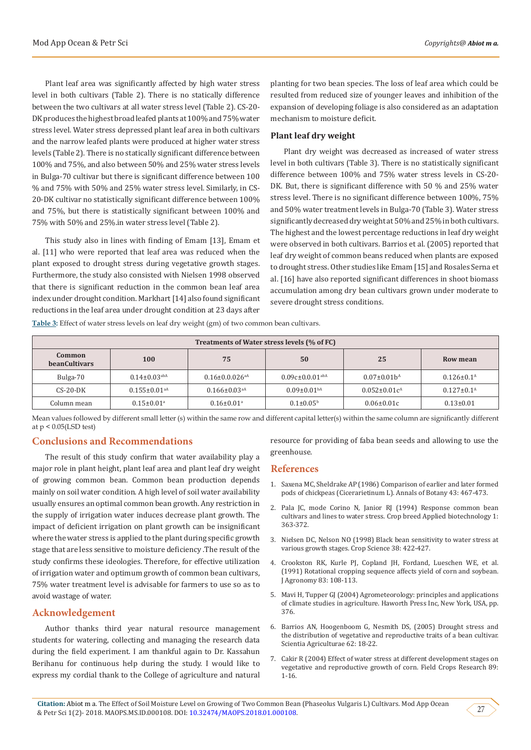Plant leaf area was significantly affected by high water stress level in both cultivars (Table 2). There is no statically difference between the two cultivars at all water stress level (Table 2). CS-20- DK produces the highest broad leafed plants at 100% and 75% water stress level. Water stress depressed plant leaf area in both cultivars and the narrow leafed plants were produced at higher water stress levels (Table 2). There is no statically significant difference between 100% and 75%, and also between 50% and 25% water stress levels in Bulga-70 cultivar but there is significant difference between 100 % and 75% with 50% and 25% water stress level. Similarly, in CS-20-DK cultivar no statistically significant difference between 100% and 75%, but there is statistically significant between 100% and 75% with 50% and 25%.in water stress level (Table 2).

This study also in lines with finding of Emam [13], Emam et al. [11] who were reported that leaf area was reduced when the plant exposed to drought stress during vegetative growth stages. Furthermore, the study also consisted with Nielsen 1998 observed that there is significant reduction in the common bean leaf area index under drought condition. Markhart [14] also found significant reductions in the leaf area under drought condition at 23 days after

planting for two bean species. The loss of leaf area which could be resulted from reduced size of younger leaves and inhibition of the expansion of developing foliage is also considered as an adaptation mechanism to moisture deficit.

### **Plant leaf dry weight**

Plant dry weight was decreased as increased of water stress level in both cultivars (Table 3). There is no statistically significant difference between 100% and 75% water stress levels in CS-20- DK. But, there is significant difference with 50 % and 25% water stress level. There is no significant difference between 100%, 75% and 50% water treatment levels in Bulga-70 (Table 3). Water stress significantly decreased dry weight at 50% and 25% in both cultivars. The highest and the lowest percentage reductions in leaf dry weight were observed in both cultivars. Barrios et al. (2005) reported that leaf dry weight of common beans reduced when plants are exposed to drought stress. Other studies like Emam [15] and Rosales Serna et al. [16] have also reported significant differences in shoot biomass accumulation among dry bean cultivars grown under moderate to severe drought stress conditions.

**Table 3:** Effect of water stress levels on leaf dry weight (gm) of two common bean cultivars.

| Treatments of Water stress levels (% of FC) |                                |                                  |                                  |                      |                            |  |
|---------------------------------------------|--------------------------------|----------------------------------|----------------------------------|----------------------|----------------------------|--|
| Common<br><b>beanCultivars</b>              | 100                            | 75                               | 50                               | 25                   | Row mean                   |  |
| Bulga-70                                    | $0.14 \pm 0.03$ <sup>abA</sup> | $0.16 \pm 0.0.026$ <sup>aA</sup> | $0.09c \pm 0.001$ <sup>abA</sup> | $0.07 \pm 0.01 b^A$  | $0.126 \pm 0.1^{\text{A}}$ |  |
| $CS-20-DK$                                  | $0.155 \pm 0.01$ <sup>aA</sup> | $0.166 \pm 0.03$ <sup>aA</sup>   | $0.09 \pm 0.01bA$                | $0.052 \pm 0.01 c^4$ | $0.127 \pm 0.1^{\text{A}}$ |  |
| Column mean                                 | $0.15 \pm 0.01$ <sup>a</sup>   | $0.16 \pm 0.01$ <sup>a</sup>     | $0.1 \pm 0.05^{\rm b}$           | $0.06 \pm 0.01c$     | $0.13 \pm 0.01$            |  |

Mean values followed by different small letter (s) within the same row and different capital letter(s) within the same column are significantly different at  $p < 0.05$ (LSD test)

# **Conclusions and Recommendations**

The result of this study confirm that water availability play a major role in plant height, plant leaf area and plant leaf dry weight of growing common bean. Common bean production depends mainly on soil water condition. A high level of soil water availability usually ensures an optimal common bean growth. Any restriction in the supply of irrigation water induces decrease plant growth. The impact of deficient irrigation on plant growth can be insignificant where the water stress is applied to the plant during specific growth stage that are less sensitive to moisture deficiency .The result of the study confirms these ideologies. Therefore, for effective utilization of irrigation water and optimum growth of common bean cultivars, 75% water treatment level is advisable for farmers to use so as to avoid wastage of water.

# **Acknowledgement**

Author thanks third year natural resource management students for watering, collecting and managing the research data during the field experiment. I am thankful again to Dr. Kassahun Berihanu for continuous help during the study. I would like to express my cordial thank to the College of agriculture and natural

resource for providing of faba bean seeds and allowing to use the greenhouse.

#### **References**

- 1. [Saxena MC, Sheldrake AP \(1986\) Comparison of earlier and later formed](https://academic.oup.com/aob/article-abstract/43/4/467/154900?redirectedFrom=PDF) pods of chickpeas ([Cicerarietinum L\). Annals of Botany 43: 467-473.](https://academic.oup.com/aob/article-abstract/43/4/467/154900?redirectedFrom=PDF)
- 2. [Pala JC, mode Corino N, Janior RJ \(1994\) Response common bean](http://www.sbmp.org.br/cbab/siscbab/uploads/bd6b9012-2cdd-6f9c.pdf) [cultivars and lines to water stress. Crop breed Applied biotechnology 1:](http://www.sbmp.org.br/cbab/siscbab/uploads/bd6b9012-2cdd-6f9c.pdf) [363-372.](http://www.sbmp.org.br/cbab/siscbab/uploads/bd6b9012-2cdd-6f9c.pdf)
- 3. [Nielsen DC, Nelson NO \(1998\) Black bean sensitivity to water stress at](https://www.ars.usda.gov/ARSUserFiles/30100000/1990-1999documents/343%201998%20Nielsen%20Crop%20Sci.pdf) [various growth stages. Crop Science 38: 422-427.](https://www.ars.usda.gov/ARSUserFiles/30100000/1990-1999documents/343%201998%20Nielsen%20Crop%20Sci.pdf)
- 4. [Crookston RK, Kurle PJ, Copland JH, Fordand, Lueschen WE, et al.](https://dl.sciencesocieties.org/publications/aj/abstracts/83/1/AJ0830010108?access=0&view=pdf) [\(1991\) Rotational cropping sequence affects yield of corn and soybean.](https://dl.sciencesocieties.org/publications/aj/abstracts/83/1/AJ0830010108?access=0&view=pdf) [J Agronomy 83: 108-113.](https://dl.sciencesocieties.org/publications/aj/abstracts/83/1/AJ0830010108?access=0&view=pdf)
- 5. [Mavi H, Tupper GJ \(2004\) Agrometeorology: principles and applications](https://www.crcpress.com/Agrometeorology-Principles-and-Applications-of-Climate-Studies-in-Agriculture/Mavi-Tupper/p/book/9781560229728) [of climate studies in agriculture. Haworth Press Inc, New York, USA, pp.](https://www.crcpress.com/Agrometeorology-Principles-and-Applications-of-Climate-Studies-in-Agriculture/Mavi-Tupper/p/book/9781560229728) [376.](https://www.crcpress.com/Agrometeorology-Principles-and-Applications-of-Climate-Studies-in-Agriculture/Mavi-Tupper/p/book/9781560229728)
- 6. [Barrios AN, Hoogenboom G, Nesmith DS, \(2005\) Drought stress and](http://www.scielo.br/scielo.php?script=sci_arttext&pid=S0103-90162005000100004) [the distribution of vegetative and reproductive traits of a bean cultivar.](http://www.scielo.br/scielo.php?script=sci_arttext&pid=S0103-90162005000100004) [Scientia Agriculturae 62: 18-22.](http://www.scielo.br/scielo.php?script=sci_arttext&pid=S0103-90162005000100004)
- 7. [Cakir R \(2004\) Effect of water stress at different development stages on](https://www.sciencedirect.com/science/article/pii/S0378429004000176) [vegetative and reproductive growth of corn. Field Crops Research 89:](https://www.sciencedirect.com/science/article/pii/S0378429004000176) [1-16.](https://www.sciencedirect.com/science/article/pii/S0378429004000176)